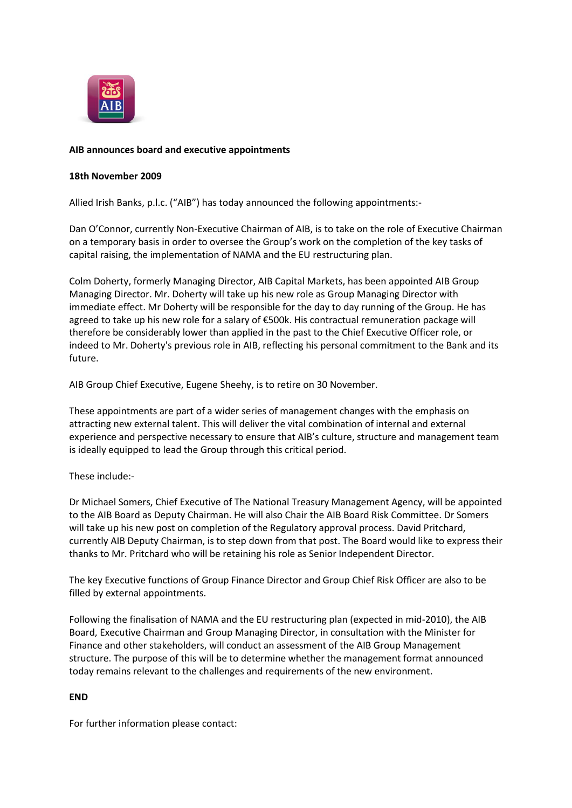

## **AIB announces board and executive appointments**

## **18th November 2009**

Allied Irish Banks, p.l.c. ("AIB") has today announced the following appointments:-

Dan O'Connor, currently Non-Executive Chairman of AIB, is to take on the role of Executive Chairman on a temporary basis in order to oversee the Group's work on the completion of the key tasks of capital raising, the implementation of NAMA and the EU restructuring plan.

Colm Doherty, formerly Managing Director, AIB Capital Markets, has been appointed AIB Group Managing Director. Mr. Doherty will take up his new role as Group Managing Director with immediate effect. Mr Doherty will be responsible for the day to day running of the Group. He has agreed to take up his new role for a salary of €500k. His contractual remuneration package will therefore be considerably lower than applied in the past to the Chief Executive Officer role, or indeed to Mr. Doherty's previous role in AIB, reflecting his personal commitment to the Bank and its future.

AIB Group Chief Executive, Eugene Sheehy, is to retire on 30 November.

These appointments are part of a wider series of management changes with the emphasis on attracting new external talent. This will deliver the vital combination of internal and external experience and perspective necessary to ensure that AIB's culture, structure and management team is ideally equipped to lead the Group through this critical period.

## These include:-

Dr Michael Somers, Chief Executive of The National Treasury Management Agency, will be appointed to the AIB Board as Deputy Chairman. He will also Chair the AIB Board Risk Committee. Dr Somers will take up his new post on completion of the Regulatory approval process. David Pritchard, currently AIB Deputy Chairman, is to step down from that post. The Board would like to express their thanks to Mr. Pritchard who will be retaining his role as Senior Independent Director.

The key Executive functions of Group Finance Director and Group Chief Risk Officer are also to be filled by external appointments.

Following the finalisation of NAMA and the EU restructuring plan (expected in mid-2010), the AIB Board, Executive Chairman and Group Managing Director, in consultation with the Minister for Finance and other stakeholders, will conduct an assessment of the AIB Group Management structure. The purpose of this will be to determine whether the management format announced today remains relevant to the challenges and requirements of the new environment.

## **END**

For further information please contact: